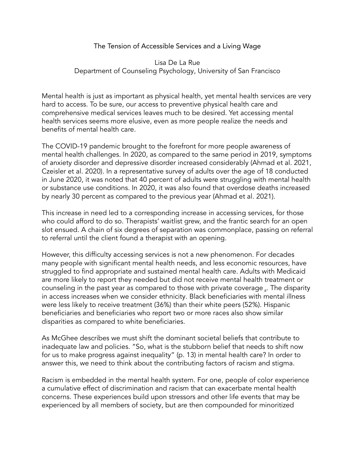The Tension of Accessible Services and a Living Wage

Lisa De La Rue Department of Counseling Psychology, University of San Francisco

Mental health is just as important as physical health, yet mental health services are very hard to access. To be sure, our access to preventive physical health care and comprehensive medical services leaves much to be desired. Yet accessing mental health services seems more elusive, even as more people realize the needs and benefits of mental health care.

The COVID-19 pandemic brought to the forefront for more people awareness of mental health challenges. In 2020, as compared to the same period in 2019, symptoms of anxiety disorder and depressive disorder increased considerably (Ahmad et al. 2021, Czeisler et al. 2020). In a representative survey of adults over the age of 18 conducted in June 2020, it was noted that 40 percent of adults were struggling with mental health or substance use conditions. In 2020, it was also found that overdose deaths increased by nearly 30 percent as compared to the previous year (Ahmad et al. 2021).

This increase in need led to a corresponding increase in accessing services, for those who could afford to do so. Therapists' waitlist grew, and the frantic search for an open slot ensued. A chain of six degrees of separation was commonplace, passing on referral to referral until the client found a therapist with an opening.

However, this difficulty accessing services is not a new phenomenon. For decades many people with significant mental health needs, and less economic resources, have struggled to find appropriate and sustained mental health care. Adults with Medicaid are more likely to report they needed but did not receive mental health treatment or counseling in the past year as compared to those with private coverage <sub>a</sub>. The disparity in access increases when we consider ethnicity. Black beneficiaries with mental illness were less likely to receive treatment (36%) than their white peers (52%). Hispanic beneficiaries and beneficiaries who report two or more races also show similar disparities as compared to white beneficiaries.

As McGhee describes we must shift the dominant societal beliefs that contribute to inadequate law and policies. "So, what is the stubborn belief that needs to shift now for us to make progress against inequality" (p. 13) in mental health care? In order to answer this, we need to think about the contributing factors of racism and stigma.

Racism is embedded in the mental health system. For one, people of color experience a cumulative effect of discrimination and racism that can exacerbate mental health concerns. These experiences build upon stressors and other life events that may be experienced by all members of society, but are then compounded for minoritized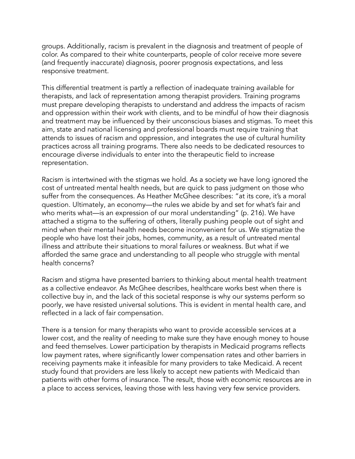groups. Additionally, racism is prevalent in the diagnosis and treatment of people of color. As compared to their white counterparts, people of color receive more severe (and frequently inaccurate) diagnosis, poorer prognosis expectations, and less responsive treatment.

This differential treatment is partly a reflection of inadequate training available for therapists, and lack of representation among therapist providers. Training programs must prepare developing therapists to understand and address the impacts of racism and oppression within their work with clients, and to be mindful of how their diagnosis and treatment may be influenced by their unconscious biases and stigmas. To meet this aim, state and national licensing and professional boards must require training that attends to issues of racism and oppression, and integrates the use of cultural humility practices across all training programs. There also needs to be dedicated resources to encourage diverse individuals to enter into the therapeutic field to increase representation.

Racism is intertwined with the stigmas we hold. As a society we have long ignored the cost of untreated mental health needs, but are quick to pass judgment on those who suffer from the consequences. As Heather McGhee describes: "at its core, it's a moral question. Ultimately, an economy—the rules we abide by and set for what's fair and who merits what—is an expression of our moral understanding" (p. 216). We have attached a stigma to the suffering of others, literally pushing people out of sight and mind when their mental health needs become inconvenient for us. We stigmatize the people who have lost their jobs, homes, community, as a result of untreated mental illness and attribute their situations to moral failures or weakness. But what if we afforded the same grace and understanding to all people who struggle with mental health concerns?

Racism and stigma have presented barriers to thinking about mental health treatment as a collective endeavor. As McGhee describes, healthcare works best when there is collective buy in, and the lack of this societal response is why our systems perform so poorly, we have resisted universal solutions. This is evident in mental health care, and reflected in a lack of fair compensation.

There is a tension for many therapists who want to provide accessible services at a lower cost, and the reality of needing to make sure they have enough money to house and feed themselves. Lower participation by therapists in Medicaid programs reflects low payment rates, where significantly lower compensation rates and other barriers in receiving payments make it infeasible for many providers to take Medicaid. A recent study found that providers are less likely to accept new patients with Medicaid than patients with other forms of insurance. The result, those with economic resources are in a place to access services, leaving those with less having very few service providers.